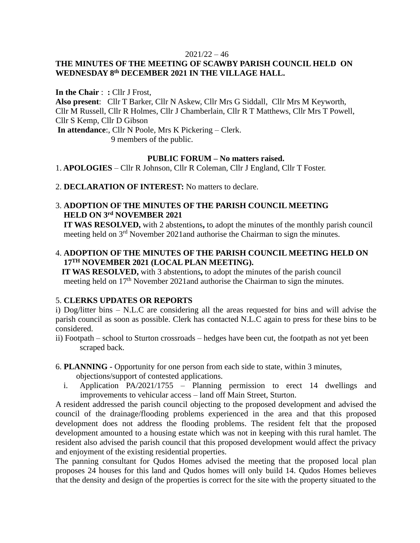#### $2021/22 - 46$

# **THE MINUTES OF THE MEETING OF SCAWBY PARISH COUNCIL HELD ON WEDNESDAY 8th DECEMBER 2021 IN THE VILLAGE HALL.**

**In the Chair** : **:** Cllr J Frost, **Also present**: Cllr T Barker, Cllr N Askew, Cllr Mrs G Siddall, Cllr Mrs M Keyworth, Cllr M Russell, Cllr R Holmes, Cllr J Chamberlain, Cllr R T Matthews, Cllr Mrs T Powell, Cllr S Kemp, Cllr D Gibson **In attendance**:, Cllr N Poole, Mrs K Pickering – Clerk. 9 members of the public.

### **PUBLIC FORUM – No matters raised.**

1. **APOLOGIES** – Cllr R Johnson, Cllr R Coleman, Cllr J England, Cllr T Foster.

2. **DECLARATION OF INTEREST:** No matters to declare.

### 3. **ADOPTION OF THE MINUTES OF THE PARISH COUNCIL MEETING HELD ON 3 rd NOVEMBER 2021**

 **IT WAS RESOLVED,** with 2 abstentions**,** to adopt the minutes of the monthly parish council meeting held on 3<sup>rd</sup> November 2021and authorise the Chairman to sign the minutes.

### 4. **ADOPTION OF THE MINUTES OF THE PARISH COUNCIL MEETING HELD ON 17TH NOVEMBER 2021 (LOCAL PLAN MEETING).**

 **IT WAS RESOLVED,** with 3 abstentions**,** to adopt the minutes of the parish council meeting held on 17<sup>th</sup> November 2021and authorise the Chairman to sign the minutes.

### 5. **CLERKS UPDATES OR REPORTS**

i) Dog/litter bins – N.L.C are considering all the areas requested for bins and will advise the parish council as soon as possible. Clerk has contacted N.L.C again to press for these bins to be considered.

ii) Footpath – school to Sturton crossroads – hedges have been cut, the footpath as not yet been scraped back.

6. **PLANNING -** Opportunity for one person from each side to state, within 3 minutes,

objections/support of contested applications.

i. Application PA/2021/1755 – Planning permission to erect 14 dwellings and improvements to vehicular access – land off Main Street, Sturton.

A resident addressed the parish council objecting to the proposed development and advised the council of the drainage/flooding problems experienced in the area and that this proposed development does not address the flooding problems. The resident felt that the proposed development amounted to a housing estate which was not in keeping with this rural hamlet. The resident also advised the parish council that this proposed development would affect the privacy and enjoyment of the existing residential properties.

The panning consultant for Qudos Homes advised the meeting that the proposed local plan proposes 24 houses for this land and Qudos homes will only build 14. Qudos Homes believes that the density and design of the properties is correct for the site with the property situated to the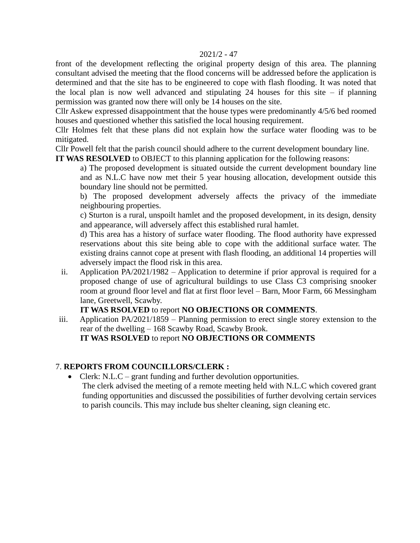#### 2021/2 - 47

front of the development reflecting the original property design of this area. The planning consultant advised the meeting that the flood concerns will be addressed before the application is determined and that the site has to be engineered to cope with flash flooding. It was noted that the local plan is now well advanced and stipulating 24 houses for this site  $-$  if planning permission was granted now there will only be 14 houses on the site.

Cllr Askew expressed disappointment that the house types were predominantly 4/5/6 bed roomed houses and questioned whether this satisfied the local housing requirement.

Cllr Holmes felt that these plans did not explain how the surface water flooding was to be mitigated.

Cllr Powell felt that the parish council should adhere to the current development boundary line.

**IT WAS RESOLVED** to OBJECT to this planning application for the following reasons:

a) The proposed development is situated outside the current development boundary line and as N.L.C have now met their 5 year housing allocation, development outside this boundary line should not be permitted.

b) The proposed development adversely affects the privacy of the immediate neighbouring properties.

c) Sturton is a rural, unspoilt hamlet and the proposed development, in its design, density and appearance, will adversely affect this established rural hamlet.

d) This area has a history of surface water flooding. The flood authority have expressed reservations about this site being able to cope with the additional surface water. The existing drains cannot cope at present with flash flooding, an additional 14 properties will adversely impact the flood risk in this area.

ii. Application PA/2021/1982 – Application to determine if prior approval is required for a proposed change of use of agricultural buildings to use Class C3 comprising snooker room at ground floor level and flat at first floor level – Barn, Moor Farm, 66 Messingham lane, Greetwell, Scawby.

## **IT WAS RSOLVED** to report **NO OBJECTIONS OR COMMENTS**.

iii. Application PA/2021/1859 – Planning permission to erect single storey extension to the rear of the dwelling – 168 Scawby Road, Scawby Brook. **IT WAS RSOLVED** to report **NO OBJECTIONS OR COMMENTS**

## 7. **REPORTS FROM COUNCILLORS/CLERK :**

• Clerk: N.L.C – grant funding and further devolution opportunities. The clerk advised the meeting of a remote meeting held with N.L.C which covered grant funding opportunities and discussed the possibilities of further devolving certain services to parish councils. This may include bus shelter cleaning, sign cleaning etc.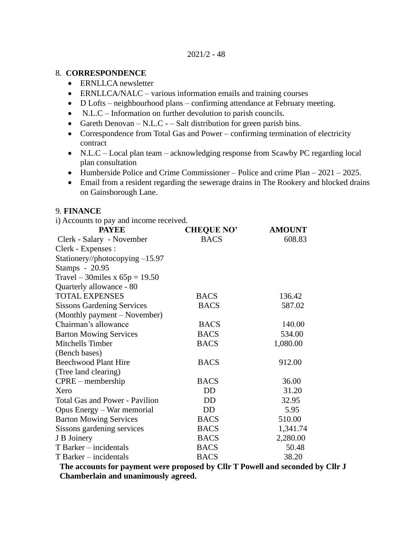### 8. **CORRESPONDENCE**

- ERNLLCA newsletter
- ERNLLCA/NALC various information emails and training courses
- D Lofts neighbourhood plans confirming attendance at February meeting.
- N.L.C Information on further devolution to parish councils.
- Gareth Denovan N.L.C – Salt distribution for green parish bins.
- Correspondence from Total Gas and Power confirming termination of electricity contract
- N.L.C Local plan team acknowledging response from Scawby PC regarding local plan consultation
- Humberside Police and Crime Commissioner Police and crime Plan 2021 2025.
- Email from a resident regarding the sewerage drains in The Rookery and blocked drains on Gainsborough Lane.

### 9. **FINANCE**

i) Accounts to pay and income received.

| <b>PAYEE</b>                          | <b>CHEQUE NO'</b> | <b>AMOUNT</b> |
|---------------------------------------|-------------------|---------------|
| Clerk - Salary - November             | <b>BACS</b>       | 608.83        |
| Clerk - Expenses :                    |                   |               |
| Stationery//photocopying -15.97       |                   |               |
| Stamps - 20.95                        |                   |               |
| Travel – 30miles x $65p = 19.50$      |                   |               |
| Quarterly allowance - 80              |                   |               |
| <b>TOTAL EXPENSES</b>                 | <b>BACS</b>       | 136.42        |
| <b>Sissons Gardening Services</b>     | <b>BACS</b>       | 587.02        |
| (Monthly payment – November)          |                   |               |
| Chairman's allowance                  | <b>BACS</b>       | 140.00        |
| <b>Barton Mowing Services</b>         | <b>BACS</b>       | 534.00        |
| Mitchells Timber                      | <b>BACS</b>       | 1,080.00      |
| (Bench bases)                         |                   |               |
| <b>Beechwood Plant Hire</b>           | <b>BACS</b>       | 912.00        |
| (Tree land clearing)                  |                   |               |
| $CPRE$ – membership                   | <b>BACS</b>       | 36.00         |
| Xero                                  | DD                | 31.20         |
| <b>Total Gas and Power - Pavilion</b> | DD                | 32.95         |
| Opus Energy – War memorial            | DD                | 5.95          |
| <b>Barton Mowing Services</b>         | <b>BACS</b>       | 510.00        |
| Sissons gardening services            | <b>BACS</b>       | 1,341.74      |
| J B Joinery                           | <b>BACS</b>       | 2,280.00      |
| T Barker – incidentals                | <b>BACS</b>       | 50.48         |
| T Barker – incidentals                | <b>BACS</b>       | 38.20         |

 **The accounts for payment were proposed by Cllr T Powell and seconded by Cllr J Chamberlain and unanimously agreed.**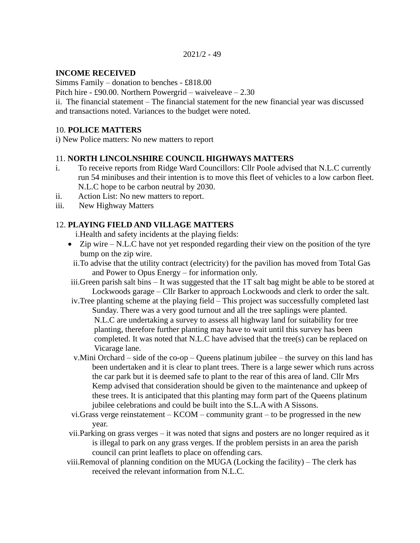2021/2 - 49

### **INCOME RECEIVED**

Simms Family – donation to benches - £818.00

Pitch hire - £90.00. Northern Powergrid – waiveleave – 2.30

ii. The financial statement – The financial statement for the new financial year was discussed and transactions noted. Variances to the budget were noted.

### 10. **POLICE MATTERS**

i) New Police matters: No new matters to report

### 11. **NORTH LINCOLNSHIRE COUNCIL HIGHWAYS MATTERS**

- i. To receive reports from Ridge Ward Councillors: Cllr Poole advised that N.L.C currently run 54 minibuses and their intention is to move this fleet of vehicles to a low carbon fleet. N.L.C hope to be carbon neutral by 2030.
- ii. Action List: No new matters to report.
- iii. New Highway Matters

### 12. **PLAYING FIELD AND VILLAGE MATTERS**

i.Health and safety incidents at the playing fields:

- Zip wire N.L.C have not yet responded regarding their view on the position of the tyre bump on the zip wire.
	- ii.To advise that the utility contract (electricity) for the pavilion has moved from Total Gas and Power to Opus Energy – for information only.
- iii.Green parish salt bins It was suggested that the 1T salt bag might be able to be stored at Lockwoods garage – Cllr Barker to approach Lockwoods and clerk to order the salt.
- iv.Tree planting scheme at the playing field This project was successfully completed last Sunday. There was a very good turnout and all the tree saplings were planted.
	- N.L.C are undertaking a survey to assess all highway land for suitability for tree planting, therefore further planting may have to wait until this survey has been completed. It was noted that N.L.C have advised that the tree(s) can be replaced on Vicarage lane.
- v.Mini Orchard side of the co-op Queens platinum jubilee the survey on this land has been undertaken and it is clear to plant trees. There is a large sewer which runs across the car park but it is deemed safe to plant to the rear of this area of land. Cllr Mrs Kemp advised that consideration should be given to the maintenance and upkeep of these trees. It is anticipated that this planting may form part of the Queens platinum jubilee celebrations and could be built into the S.L.A with A Sissons.
- vi.Grass verge reinstatement KCOM community grant to be progressed in the new year.
- vii.Parking on grass verges it was noted that signs and posters are no longer required as it is illegal to park on any grass verges. If the problem persists in an area the parish council can print leaflets to place on offending cars.
- viii.Removal of planning condition on the MUGA (Locking the facility) The clerk has received the relevant information from N.L.C.